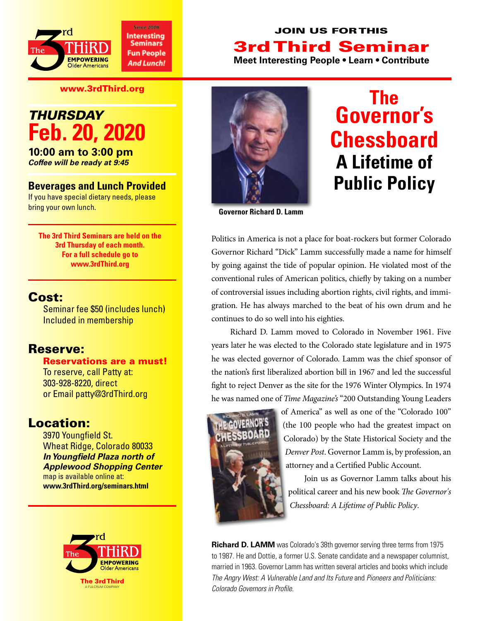

### Join Us for This 3rd Third Seminar **Meet Interesting People • Learn • Contribute**

www.3rdThird.org

# *Thursday* **Feb. 20, 2020**

**10:00 am to 3:00 pm** *Coffee will be ready at 9:45*

#### **Beverages and Lunch Provided**

If you have special dietary needs, please bring your own lunch.

**The 3rd Third Seminars are held on the 3rd Thursday of each month. For a full schedule go to www.3rdThird.org**

#### Cost:

Seminar fee \$50 (includes lunch) Included in membership

#### Reserve:

Reservations are a must! To reserve, call Patty at: 303-928-8220, direct or Email patty@3rdThird.org

## Location:

3970 Youngfield St. Wheat Ridge, Colorado 80033 *In Youngfield Plaza north of Applewood Shopping Center* map is available online at: **www.3rdThird.org/seminars.html**







**Governor Richard D. Lamm**

Politics in America is not a place for boat-rockers but former Colorado Governor Richard "Dick" Lamm successfully made a name for himself by going against the tide of popular opinion. He violated most of the conventional rules of American politics, chiefly by taking on a number of controversial issues including abortion rights, civil rights, and immigration. He has always marched to the beat of his own drum and he continues to do so well into his eighties.

Richard D. Lamm moved to Colorado in November 1961. Five years later he was elected to the Colorado state legislature and in 1975 he was elected governor of Colorado. Lamm was the chief sponsor of the nation's first liberalized abortion bill in 1967 and led the successful fight to reject Denver as the site for the 1976 Winter Olympics. In 1974 he was named one of *Time Magazine's* "200 Outstanding Young Leaders



of America" as well as one of the "Colorado 100" (the 100 people who had the greatest impact on Colorado) by the State Historical Society and the *Denver Post*. Governor Lamm is, by profession, an attorney and a Certified Public Account.

 Join us as Governor Lamm talks about his political career and his new book *The Governor's Chessboard: A Lifetime of Public Policy*.

**Richard D. LAMM** was Colorado's 38th governor serving three terms from 1975 to 1987. He and Dottie, a former U.S. Senate candidate and a newspaper columnist, married in 1963. Governor Lamm has written several articles and books which include *The Angry West: A Vulnerable Land and Its Future* and *Pioneers and Politicians: Colorado Governors in Profile*.